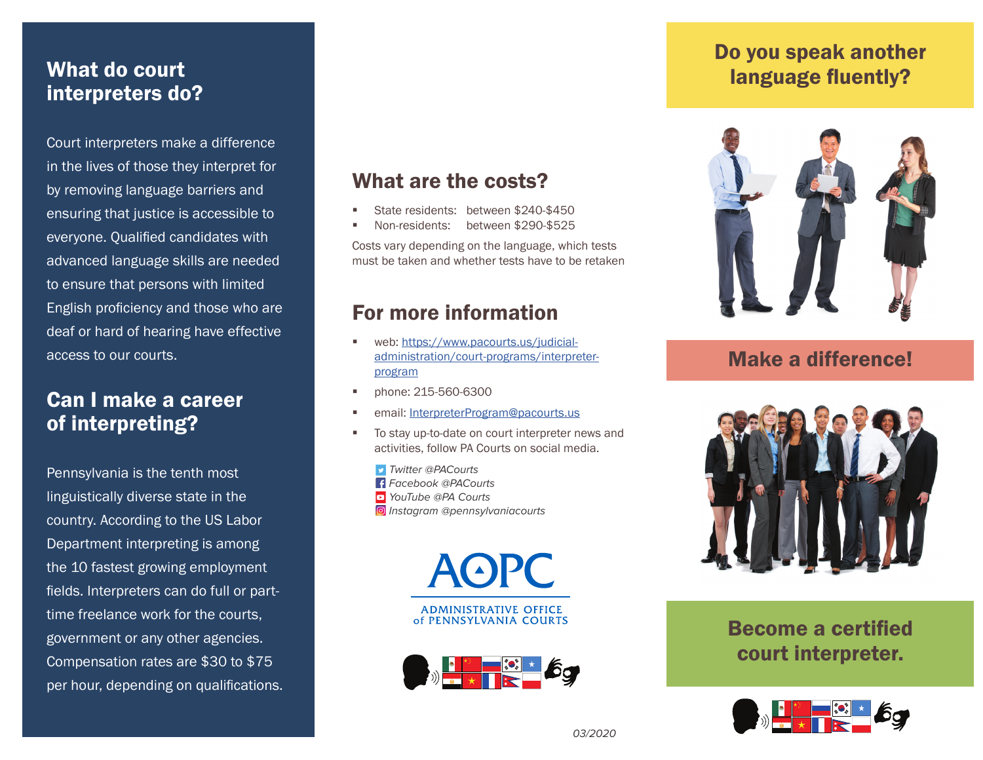## What do court interpreters do?

Court interpreters make a difference in the lives of those they interpret for by removing language barriers and ensuring that justice is accessible to everyone. Qualified candidates with advanced language skills are needed to ensure that persons with limited English proficiency and those who are deaf or hard of hearing have effective access to our courts.

# Can I make a career of interpreting?

Pennsylvania is the tenth most linguistically diverse state in the country. According to the US Labor Department interpreting is among the 10 fastest growing employment fields. Interpreters can do full or parttime freelance work for the courts, government or any other agencies. Compensation rates are \$30 to \$75 per hour, depending on qualifications.

#### What are the costs?

- State residents: between \$240-\$450
- Non-residents: between \$290-\$525

Costs vary depending on the language, which tests must be taken and whether tests have to be retaken

## For more information

- web: https://www.pacourts.us/judicialadministration/court-programs/interpreterprogram
- phone: 215-560-6300
- email: InterpreterProgram@pacourts.us
- To stay up-to-date on court interpreter news and activities, follow PA Courts on social media.
	- **T** Twitter @PACourts Facebook @PACourts **D** YouTube @PA Courts **O** Instagram @pennsylvaniacourts

**AOPC ADMINISTRATIVE OFFICE** 





# Do you speak another language fluently?



## Make a difference!



# Become a certified court interpreter.